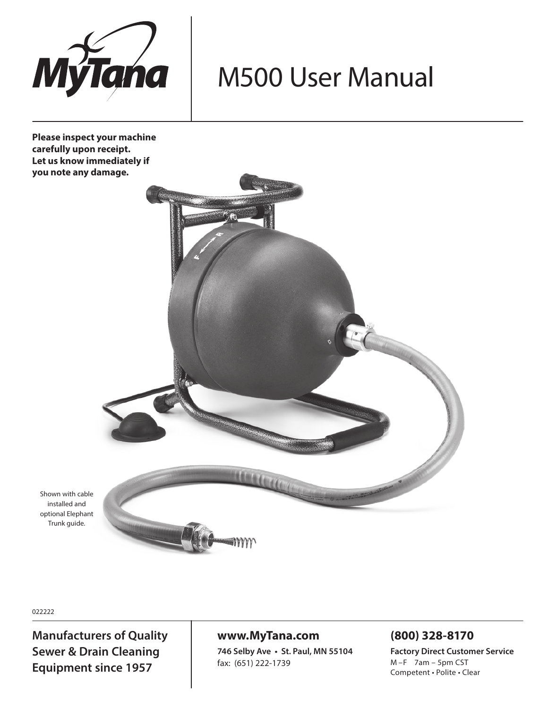

# M500 User Manual

**Please inspect your machine carefully upon receipt. Let us know immediately if you note any damage.**



Shown with cable installed and optional Elephant Trunk guide.

022222

**Manufacturers of Quality Sewer & Drain Cleaning Equipment since 1957**

#### **www.MyTana.com**

**746 Selby Ave • St. Paul, MN 55104**  fax: (651) 222-1739

#### **(800) 328-8170**

**Factory Direct Customer Service** M –F 7am – 5pm CST Competent • Polite • Clear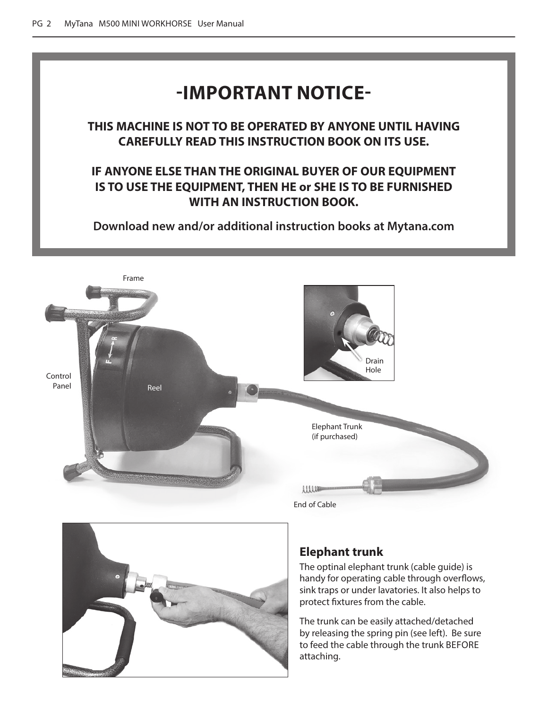### **-IMPORTANT NOTICE-**

### **THIS MACHINE IS NOT TO BE OPERATED BY ANYONE UNTIL HAVING CAREFULLY READ THIS INSTRUCTION BOOK ON ITS USE.**

### **IF ANYONE ELSE THAN THE ORIGINAL BUYER OF OUR EQUIPMENT IS TO USE THE EQUIPMENT, THEN HE or SHE IS TO BE FURNISHED WITH AN INSTRUCTION BOOK.**

**Download new and/or additional instruction books at Mytana.com**





#### **Elephant trunk**

The optinal elephant trunk (cable guide) is handy for operating cable through overflows, sink traps or under lavatories. It also helps to protect fixtures from the cable.

The trunk can be easily attached/detached by releasing the spring pin (see left). Be sure to feed the cable through the trunk BEFORE attaching.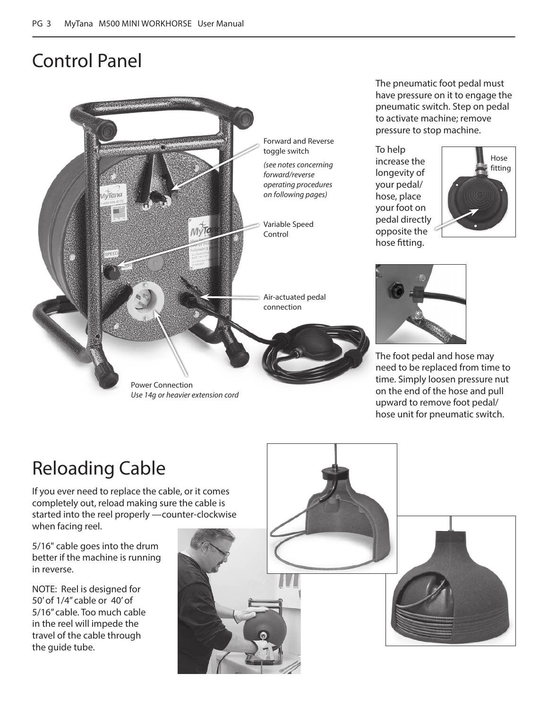### Control Panel



The pneumatic foot pedal must have pressure on it to engage the pneumatic switch. Step on pedal to activate machine; remove pressure to stop machine.

To help increase the longevity of your pedal/ hose, place your foot on pedal directly opposite the hose fitting.





The foot pedal and hose may need to be replaced from time to time. Simply loosen pressure nut on the end of the hose and pull upward to remove foot pedal/ hose unit for pneumatic switch.

### Reloading Cable

If you ever need to replace the cable, or it comes completely out, reload making sure the cable is started into the reel properly —counter-clockwise when facing reel.

5/16" cable goes into the drum better if the machine is running in reverse.

NOTE: Reel is designed for 50' of 1/4" cable or 40' of 5/16" cable. Too much cable in the reel will impede the travel of the cable through the guide tube.